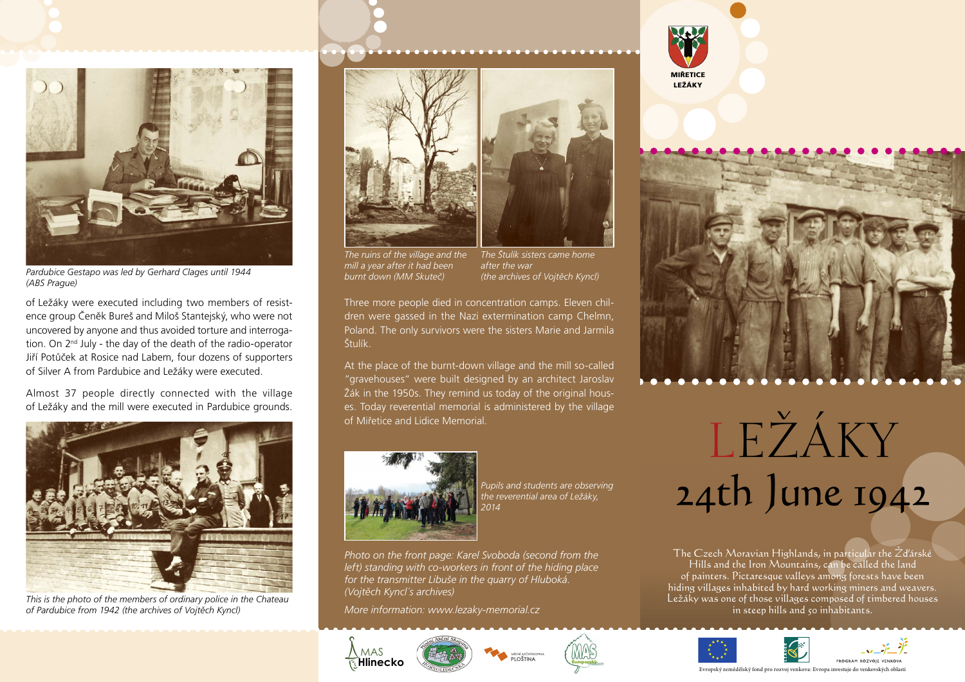

*Pardubice Gestapo was led by Gerhard Clages until 1944 (ABS Prague)*

of Ležáky were executed including two members of resistence group Čeněk Bureš and Miloš Stantejský, who were not uncovered by anyone and thus avoided torture and interrogation. On 2nd July - the day of the death of the radio-operator Jiří Potůček at Rosice nad Labem, four dozens of supporters of Silver A from Pardubice and Ležáky were executed.

Almost 37 people directly connected with the village of Ležáky and the mill were executed in Pardubice grounds.



*This is the photo of the members of ordinary police in the Chateau of Pardubice from 1942 (the archives of Vojtěch Kyncl)*





*The ruins of the village and the mill a year after it had been burnt down (MM Skuteč)*

*The Štulík sisters came home after the war (the archives of Vojtěch Kyncl)*

Three more people died in concentration camps. Eleven children were gassed in the Nazi extermination camp Chelmn, Poland. The only survivors were the sisters Marie and Jarmila Štulík.

At the place of the burnt-down village and the mill so-called "gravehouses" were built designed by an architect Jaroslav Žák in the 1950s. They remind us today of the original houses. Today reverential memorial is administered by the village



*Pupils and students are observing the reverential area of Ležáky, 2014*

*Photo on the front page: Karel Svoboda (second from the left) standing with co-workers in front of the hiding place for the transmitter Libuše in the quarry of Hluboká. (Vojtěch Kyncl´s archives)*

*More information: www.lezaky-memorial.cz*











**BROCRAM BOZVOIE VENIXON** 



**MIŘETICE**



The Czech Moravian Highlands, in particular the Zďárské Hills and the Iron Mountains, can be called the land of painters. Pictaresque valleys among forests have been hiding villages inhabited by hard working miners and weavers. Ležáky was one of those villages composed of timbered houses in steep hills and 50 inhabitants.